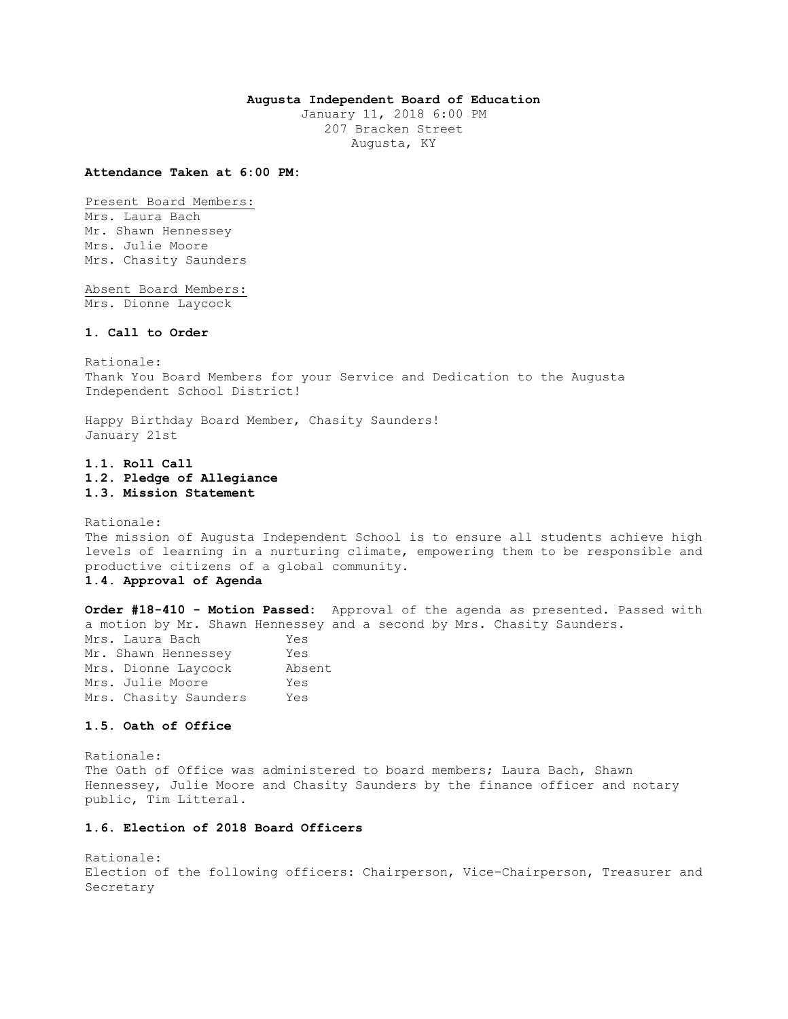# **Augusta Independent Board of Education**

January 11, 2018 6:00 PM 207 Bracken Street Augusta, KY

#### **Attendance Taken at 6:00 PM:**

Present Board Members:

Mrs. Laura Bach Mr. Shawn Hennessey Mrs. Julie Moore Mrs. Chasity Saunders

Absent Board Members: Mrs. Dionne Laycock

## **1. Call to Order**

Rationale: Thank You Board Members for your Service and Dedication to the Augusta Independent School District!

Happy Birthday Board Member, Chasity Saunders! January 21st

**1.1. Roll Call 1.2. Pledge of Allegiance 1.3. Mission Statement** 

Rationale: The mission of Augusta Independent School is to ensure all students achieve high levels of learning in a nurturing climate, empowering them to be responsible and productive citizens of a global community.

**1.4. Approval of Agenda** 

**Order #18-410 - Motion Passed:** Approval of the agenda as presented. Passed with a motion by Mr. Shawn Hennessey and a second by Mrs. Chasity Saunders. Mrs. Laura Bach Yes

| Mrs. Laura Bach       | res    |
|-----------------------|--------|
| Mr. Shawn Hennessey   | Yes    |
| Mrs. Dionne Laycock   | Absent |
| Mrs. Julie Moore      | Yes    |
| Mrs. Chasity Saunders | Yes    |

## **1.5. Oath of Office**

Rationale: The Oath of Office was administered to board members; Laura Bach, Shawn Hennessey, Julie Moore and Chasity Saunders by the finance officer and notary public, Tim Litteral.

### **1.6. Election of 2018 Board Officers**

Rationale: Election of the following officers: Chairperson, Vice-Chairperson, Treasurer and Secretary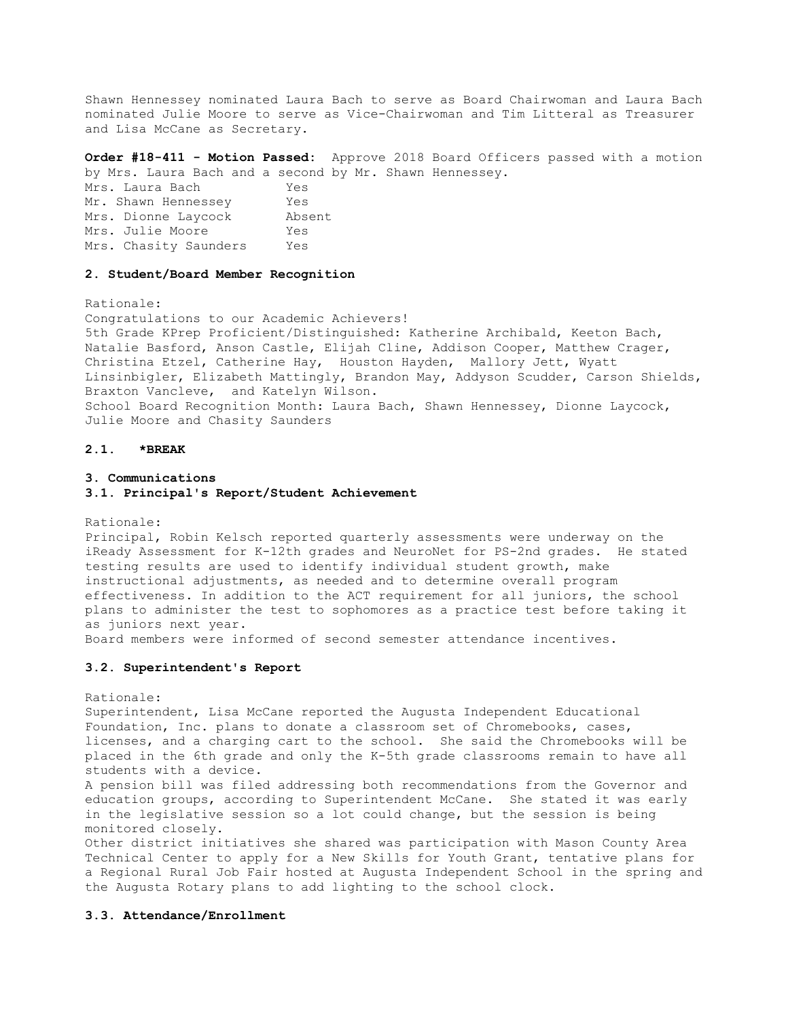Shawn Hennessey nominated Laura Bach to serve as Board Chairwoman and Laura Bach nominated Julie Moore to serve as Vice-Chairwoman and Tim Litteral as Treasurer and Lisa McCane as Secretary.

**Order #18-411 - Motion Passed:** Approve 2018 Board Officers passed with a motion by Mrs. Laura Bach and a second by Mr. Shawn Hennessey.

Mrs. Laura Bach Yes Mr. Shawn Hennessey Yes Mrs. Dionne Laycock Absent Mrs. Julie Moore Yes Mrs. Chasity Saunders Yes

## **2. Student/Board Member Recognition**

Rationale:

Congratulations to our Academic Achievers! 5th Grade KPrep Proficient/Distinguished: Katherine Archibald, Keeton Bach, Natalie Basford, Anson Castle, Elijah Cline, Addison Cooper, Matthew Crager, Christina Etzel, Catherine Hay, Houston Hayden, Mallory Jett, Wyatt Linsinbigler, Elizabeth Mattingly, Brandon May, Addyson Scudder, Carson Shields, Braxton Vancleve, and Katelyn Wilson. School Board Recognition Month: Laura Bach, Shawn Hennessey, Dionne Laycock, Julie Moore and Chasity Saunders

## **2.1. \*BREAK**

#### **3. Communications**

#### **3.1. Principal's Report/Student Achievement**

Rationale:

Principal, Robin Kelsch reported quarterly assessments were underway on the iReady Assessment for K-12th grades and NeuroNet for PS-2nd grades. He stated testing results are used to identify individual student growth, make instructional adjustments, as needed and to determine overall program effectiveness. In addition to the ACT requirement for all juniors, the school plans to administer the test to sophomores as a practice test before taking it as juniors next year.

Board members were informed of second semester attendance incentives.

#### **3.2. Superintendent's Report**

Rationale:

Superintendent, Lisa McCane reported the Augusta Independent Educational Foundation, Inc. plans to donate a classroom set of Chromebooks, cases, licenses, and a charging cart to the school. She said the Chromebooks will be placed in the 6th grade and only the K-5th grade classrooms remain to have all students with a device.

A pension bill was filed addressing both recommendations from the Governor and education groups, according to Superintendent McCane. She stated it was early in the legislative session so a lot could change, but the session is being monitored closely.

Other district initiatives she shared was participation with Mason County Area Technical Center to apply for a New Skills for Youth Grant, tentative plans for a Regional Rural Job Fair hosted at Augusta Independent School in the spring and the Augusta Rotary plans to add lighting to the school clock.

#### **3.3. Attendance/Enrollment**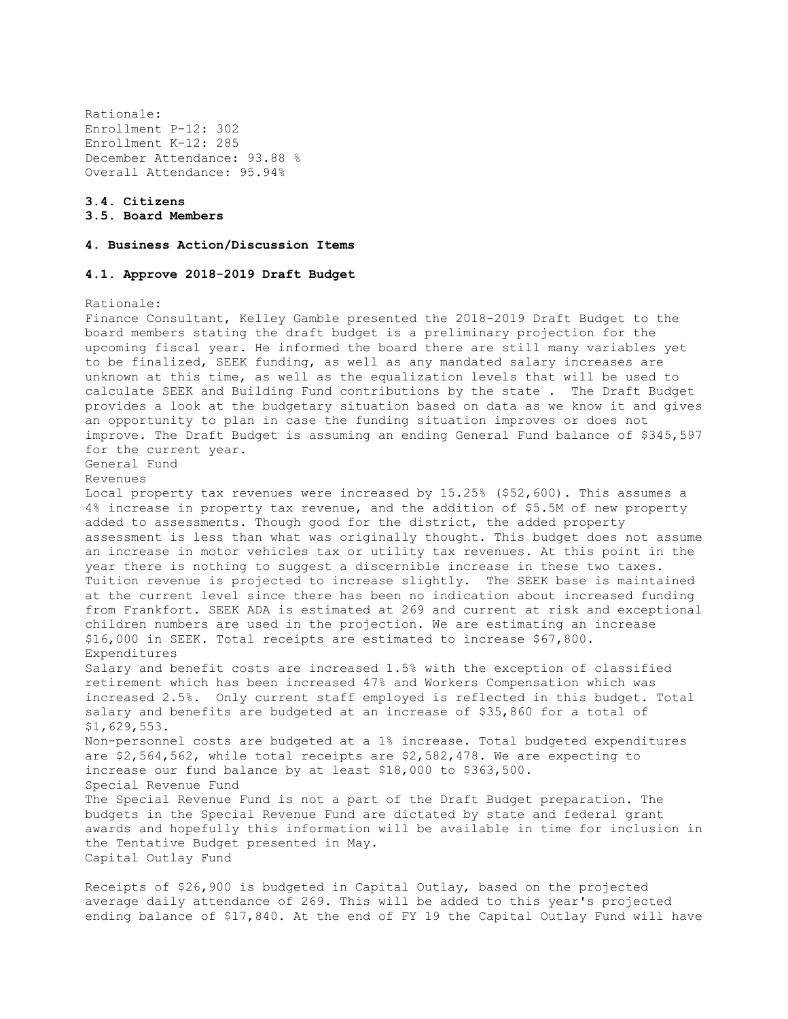Rationale: Enrollment P-12: 302 Enrollment K-12: 285 December Attendance: 93.88 % Overall Attendance: 95.94%

# **3.4. Citizens 3.5. Board Members**

## **4. Business Action/Discussion Items**

## **4.1. Approve 2018-2019 Draft Budget**

#### Rationale:

Finance Consultant, Kelley Gamble presented the 2018-2019 Draft Budget to the board members stating the draft budget is a preliminary projection for the upcoming fiscal year. He informed the board there are still many variables yet to be finalized, SEEK funding, as well as any mandated salary increases are unknown at this time, as well as the equalization levels that will be used to calculate SEEK and Building Fund contributions by the state . The Draft Budget provides a look at the budgetary situation based on data as we know it and gives an opportunity to plan in case the funding situation improves or does not improve. The Draft Budget is assuming an ending General Fund balance of \$345,597 for the current year. General Fund Revenues Local property tax revenues were increased by 15.25% (\$52,600). This assumes a 4% increase in property tax revenue, and the addition of \$5.5M of new property added to assessments. Though good for the district, the added property assessment is less than what was originally thought. This budget does not assume an increase in motor vehicles tax or utility tax revenues. At this point in the year there is nothing to suggest a discernible increase in these two taxes. Tuition revenue is projected to increase slightly. The SEEK base is maintained at the current level since there has been no indication about increased funding from Frankfort. SEEK ADA is estimated at 269 and current at risk and exceptional children numbers are used in the projection. We are estimating an increase \$16,000 in SEEK. Total receipts are estimated to increase \$67,800. Expenditures Salary and benefit costs are increased 1.5% with the exception of classified retirement which has been increased 47% and Workers Compensation which was increased 2.5%. Only current staff employed is reflected in this budget. Total salary and benefits are budgeted at an increase of \$35,860 for a total of \$1,629,553. Non-personnel costs are budgeted at a 1% increase. Total budgeted expenditures are \$2,564,562, while total receipts are \$2,582,478. We are expecting to increase our fund balance by at least \$18,000 to \$363,500. Special Revenue Fund The Special Revenue Fund is not a part of the Draft Budget preparation. The budgets in the Special Revenue Fund are dictated by state and federal grant awards and hopefully this information will be available in time for inclusion in the Tentative Budget presented in May. Capital Outlay Fund

Receipts of \$26,900 is budgeted in Capital Outlay, based on the projected average daily attendance of 269. This will be added to this year's projected ending balance of \$17,840. At the end of FY 19 the Capital Outlay Fund will have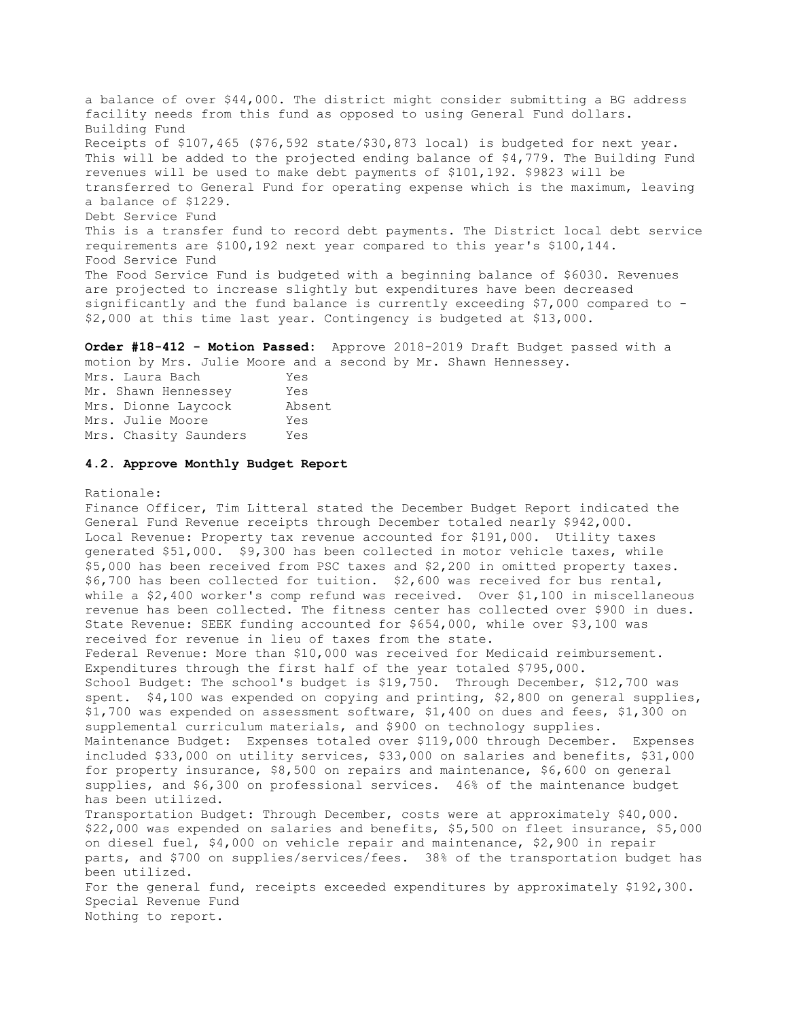a balance of over \$44,000. The district might consider submitting a BG address facility needs from this fund as opposed to using General Fund dollars. Building Fund Receipts of \$107,465 (\$76,592 state/\$30,873 local) is budgeted for next year. This will be added to the projected ending balance of \$4,779. The Building Fund revenues will be used to make debt payments of \$101,192. \$9823 will be transferred to General Fund for operating expense which is the maximum, leaving a balance of \$1229. Debt Service Fund This is a transfer fund to record debt payments. The District local debt service requirements are \$100,192 next year compared to this year's \$100,144. Food Service Fund The Food Service Fund is budgeted with a beginning balance of \$6030. Revenues are projected to increase slightly but expenditures have been decreased significantly and the fund balance is currently exceeding \$7,000 compared to - \$2,000 at this time last year. Contingency is budgeted at \$13,000.

**Order #18-412 - Motion Passed:** Approve 2018-2019 Draft Budget passed with a motion by Mrs. Julie Moore and a second by Mr. Shawn Hennessey.

| Mrs. Laura Bach       | Yes    |
|-----------------------|--------|
| Mr. Shawn Hennessey   | Yes    |
| Mrs. Dionne Laycock   | Absent |
| Mrs. Julie Moore      | Yes    |
| Mrs. Chasity Saunders | Yes    |

### **4.2. Approve Monthly Budget Report**

### Rationale:

Finance Officer, Tim Litteral stated the December Budget Report indicated the General Fund Revenue receipts through December totaled nearly \$942,000. Local Revenue: Property tax revenue accounted for \$191,000. Utility taxes generated \$51,000. \$9,300 has been collected in motor vehicle taxes, while \$5,000 has been received from PSC taxes and \$2,200 in omitted property taxes. \$6,700 has been collected for tuition. \$2,600 was received for bus rental, while a \$2,400 worker's comp refund was received. Over \$1,100 in miscellaneous revenue has been collected. The fitness center has collected over \$900 in dues. State Revenue: SEEK funding accounted for \$654,000, while over \$3,100 was received for revenue in lieu of taxes from the state. Federal Revenue: More than \$10,000 was received for Medicaid reimbursement. Expenditures through the first half of the year totaled \$795,000. School Budget: The school's budget is \$19,750. Through December, \$12,700 was spent. \$4,100 was expended on copying and printing, \$2,800 on general supplies, \$1,700 was expended on assessment software, \$1,400 on dues and fees, \$1,300 on supplemental curriculum materials, and \$900 on technology supplies. Maintenance Budget: Expenses totaled over \$119,000 through December. Expenses included \$33,000 on utility services, \$33,000 on salaries and benefits, \$31,000 for property insurance, \$8,500 on repairs and maintenance, \$6,600 on general supplies, and \$6,300 on professional services. 46% of the maintenance budget has been utilized. Transportation Budget: Through December, costs were at approximately \$40,000. \$22,000 was expended on salaries and benefits, \$5,500 on fleet insurance, \$5,000 on diesel fuel, \$4,000 on vehicle repair and maintenance, \$2,900 in repair parts, and \$700 on supplies/services/fees. 38% of the transportation budget has been utilized. For the general fund, receipts exceeded expenditures by approximately \$192,300. Special Revenue Fund Nothing to report.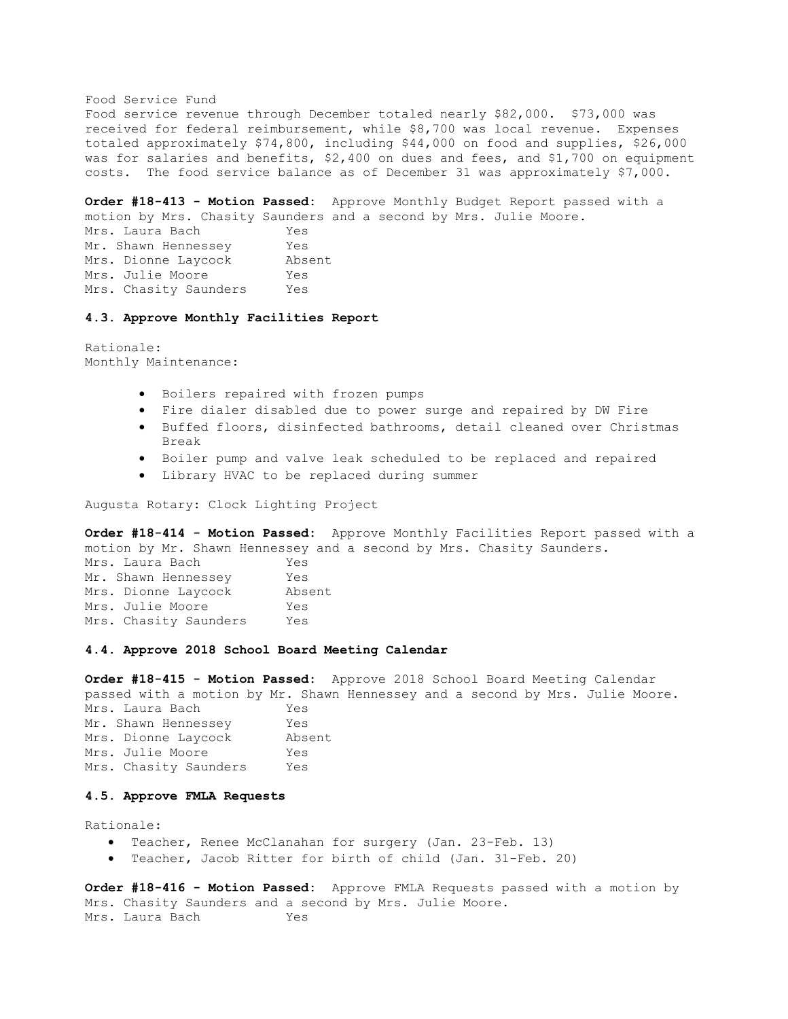Food Service Fund

Food service revenue through December totaled nearly \$82,000. \$73,000 was received for federal reimbursement, while \$8,700 was local revenue. Expenses totaled approximately \$74,800, including \$44,000 on food and supplies, \$26,000 was for salaries and benefits, \$2,400 on dues and fees, and \$1,700 on equipment costs. The food service balance as of December 31 was approximately \$7,000.

**Order #18-413 - Motion Passed:** Approve Monthly Budget Report passed with a motion by Mrs. Chasity Saunders and a second by Mrs. Julie Moore.

Mrs. Laura Bach Yes Mr. Shawn Hennessey Yes Mrs. Dionne Laycock Absent Mrs. Julie Moore Yes Mrs. Chasity Saunders Yes

### **4.3. Approve Monthly Facilities Report**

Rationale: Monthly Maintenance:

- Boilers repaired with frozen pumps
- Fire dialer disabled due to power surge and repaired by DW Fire
- Buffed floors, disinfected bathrooms, detail cleaned over Christmas Break
- Boiler pump and valve leak scheduled to be replaced and repaired
- Library HVAC to be replaced during summer

Augusta Rotary: Clock Lighting Project

**Order #18-414 - Motion Passed:** Approve Monthly Facilities Report passed with a motion by Mr. Shawn Hennessey and a second by Mrs. Chasity Saunders. Mrs. Laura Bach Yes Mr. Shawn Hennessey Yes Mrs. Dionne Laycock Absent Mrs. Julie Moore Yes Mrs. Chasity Saunders Yes

# **4.4. Approve 2018 School Board Meeting Calendar**

**Order #18-415 - Motion Passed:** Approve 2018 School Board Meeting Calendar passed with a motion by Mr. Shawn Hennessey and a second by Mrs. Julie Moore. Mrs. Laura Bach Yes Mr. Shawn Hennessey Yes Mrs. Dionne Laycock Absent Mrs. Julie Moore Yes Mrs. Chasity Saunders Yes

### **4.5. Approve FMLA Requests**

Rationale:

- Teacher, Renee McClanahan for surgery (Jan. 23-Feb. 13)
- Teacher, Jacob Ritter for birth of child (Jan. 31-Feb. 20)

**Order #18-416 - Motion Passed:** Approve FMLA Requests passed with a motion by Mrs. Chasity Saunders and a second by Mrs. Julie Moore. Mrs. Laura Bach Yes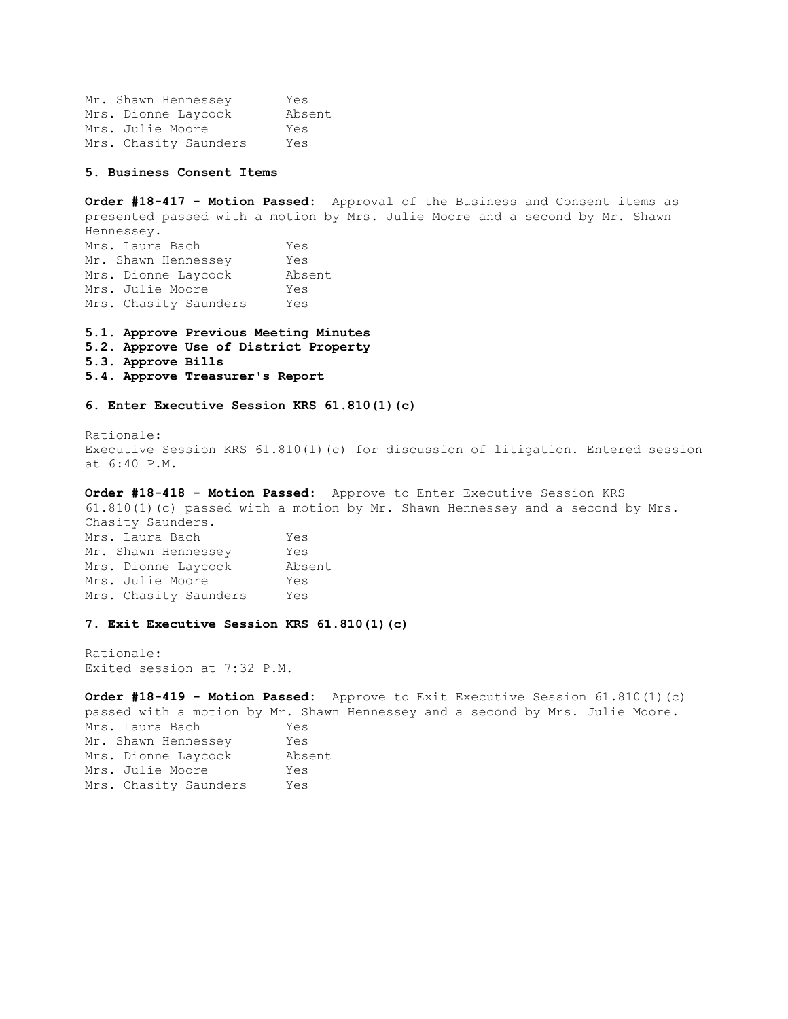Mr. Shawn Hennessey Yes Mrs. Dionne Laycock Absent Mrs. Julie Moore Yes Mrs. Chasity Saunders Yes

**5. Business Consent Items** 

**Order #18-417 - Motion Passed:** Approval of the Business and Consent items as presented passed with a motion by Mrs. Julie Moore and a second by Mr. Shawn Hennessey. Mrs. Laura Bach Yes Mr. Shawn Hennessey Yes Mrs. Dionne Laycock Absent Mrs. Julie Moore Yes Mrs. Chasity Saunders Yes

**5.1. Approve Previous Meeting Minutes** 

- **5.2. Approve Use of District Property**
- **5.3. Approve Bills**
- **5.4. Approve Treasurer's Report**

**6. Enter Executive Session KRS 61.810(1)(c)** 

Rationale: Executive Session KRS 61.810(1)(c) for discussion of litigation. Entered session at 6:40 P.M.

**Order #18-418 - Motion Passed:** Approve to Enter Executive Session KRS 61.810(1)(c) passed with a motion by Mr. Shawn Hennessey and a second by Mrs. Chasity Saunders. Mrs. Laura Bach Yes Mr. Shawn Hennessey Yes Mrs. Dionne Laycock Absent Mrs. Julie Moore Yes Mrs. Chasity Saunders Yes

#### **7. Exit Executive Session KRS 61.810(1)(c)**

Rationale: Exited session at 7:32 P.M.

**Order #18-419 - Motion Passed:** Approve to Exit Executive Session 61.810(1)(c) passed with a motion by Mr. Shawn Hennessey and a second by Mrs. Julie Moore. Mrs. Laura Bach Yes Mr. Shawn Hennessey Yes Mrs. Dionne Laycock Absent Mrs. Julie Moore Yes Mrs. Chasity Saunders Yes